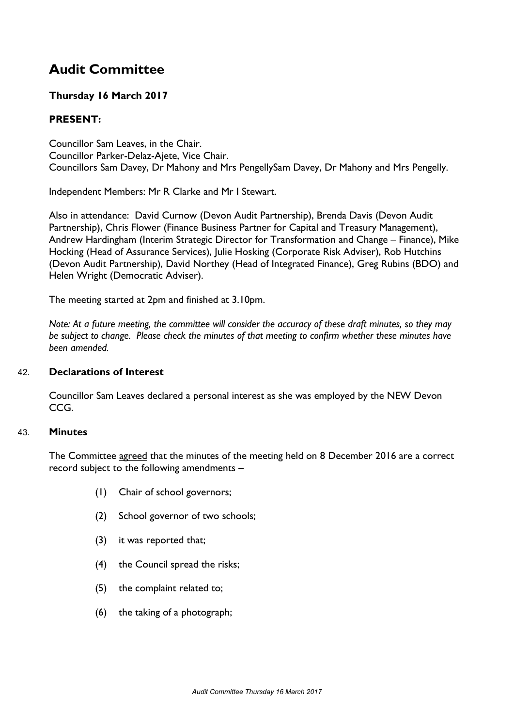# **Audit Committee**

# **Thursday 16 March 2017**

# **PRESENT:**

Councillor Sam Leaves, in the Chair. Councillor Parker-Delaz-Ajete, Vice Chair. Councillors Sam Davey, Dr Mahony and Mrs PengellySam Davey, Dr Mahony and Mrs Pengelly.

Independent Members: Mr R Clarke and Mr I Stewart.

Also in attendance: David Curnow (Devon Audit Partnership), Brenda Davis (Devon Audit Partnership), Chris Flower (Finance Business Partner for Capital and Treasury Management), Andrew Hardingham (Interim Strategic Director for Transformation and Change – Finance), Mike Hocking (Head of Assurance Services), Julie Hosking (Corporate Risk Adviser), Rob Hutchins (Devon Audit Partnership), David Northey (Head of Integrated Finance), Greg Rubins (BDO) and Helen Wright (Democratic Adviser).

The meeting started at 2pm and finished at 3.10pm.

Note: At a future meeting, the committee will consider the accuracy of these draft minutes, so they may *be subject to change. Please check the minutes of that meeting to confirm whether these minutes have been amended.*

# 42. **Declarations of Interest**

Councillor Sam Leaves declared a personal interest as she was employed by the NEW Devon CCG.

#### 43. **Minutes**

The Committee agreed that the minutes of the meeting held on 8 December 2016 are a correct record subject to the following amendments –

- (1) Chair of school governors;
- (2) School governor of two schools;
- (3) it was reported that;
- (4) the Council spread the risks;
- (5) the complaint related to;
- (6) the taking of a photograph;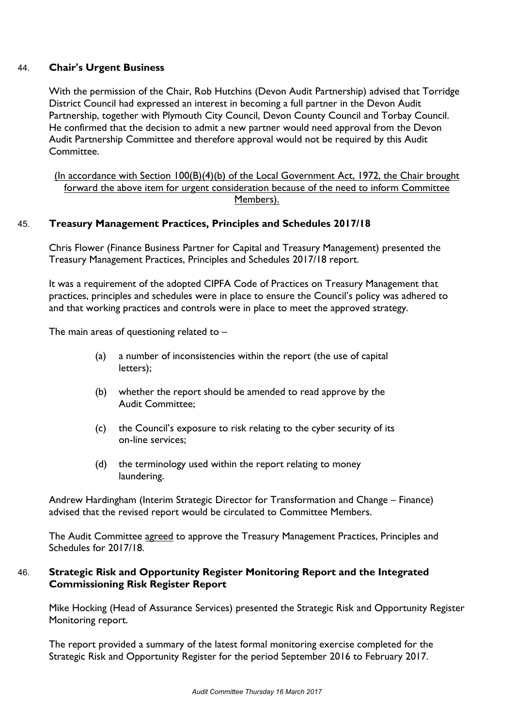## 44. **Chair's Urgent Business**

With the permission of the Chair, Rob Hutchins (Devon Audit Partnership) advised that Torridge District Council had expressed an interest in becoming a full partner in the Devon Audit Partnership, together with Plymouth City Council, Devon County Council and Torbay Council. He confirmed that the decision to admit a new partner would need approval from the Devon Audit Partnership Committee and therefore approval would not be required by this Audit Committee.

(In accordance with Section 100(B)(4)(b) of the Local Government Act, 1972, the Chair brought forward the above item for urgent consideration because of the need to inform Committee Members).

#### 45. **Treasury Management Practices, Principles and Schedules 2017/18**

Chris Flower (Finance Business Partner for Capital and Treasury Management) presented the Treasury Management Practices, Principles and Schedules 2017/18 report.

It was a requirement of the adopted CIPFA Code of Practices on Treasury Management that practices, principles and schedules were in place to ensure the Council's policy was adhered to and that working practices and controls were in place to meet the approved strategy.

The main areas of questioning related to  $-$ 

- (a) a number of inconsistencies within the report (the use of capital letters);
- (b) whether the report should be amended to read approve by the Audit Committee;
- (c) the Council's exposure to risk relating to the cyber security of its on-line services;
- (d) the terminology used within the report relating to money laundering.

Andrew Hardingham (Interim Strategic Director for Transformation and Change – Finance) advised that the revised report would be circulated to Committee Members.

The Audit Committee agreed to approve the Treasury Management Practices, Principles and Schedules for 2017/18.

#### 46. **Strategic Risk and Opportunity Register Monitoring Report and the Integrated Commissioning Risk Register Report**

Mike Hocking (Head of Assurance Services) presented the Strategic Risk and Opportunity Register Monitoring report.

The report provided a summary of the latest formal monitoring exercise completed for the Strategic Risk and Opportunity Register for the period September 2016 to February 2017.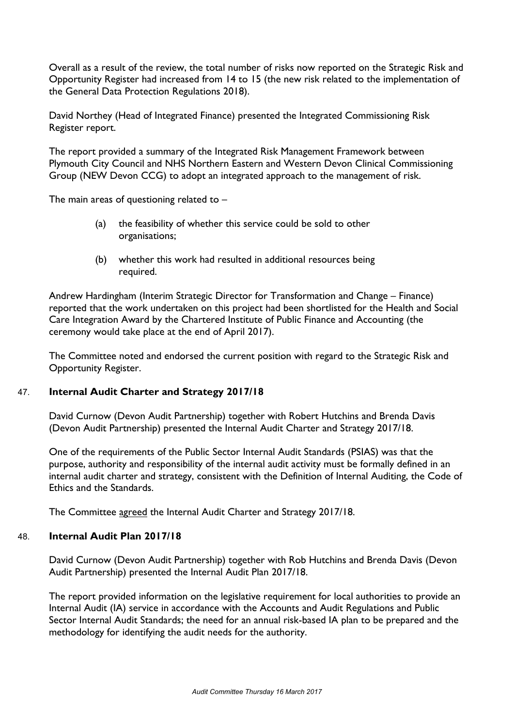Overall as a result of the review, the total number of risks now reported on the Strategic Risk and Opportunity Register had increased from 14 to 15 (the new risk related to the implementation of the General Data Protection Regulations 2018).

David Northey (Head of Integrated Finance) presented the Integrated Commissioning Risk Register report.

The report provided a summary of the Integrated Risk Management Framework between Plymouth City Council and NHS Northern Eastern and Western Devon Clinical Commissioning Group (NEW Devon CCG) to adopt an integrated approach to the management of risk.

The main areas of questioning related to  $-$ 

- (a) the feasibility of whether this service could be sold to other organisations;
- (b) whether this work had resulted in additional resources being required.

Andrew Hardingham (Interim Strategic Director for Transformation and Change – Finance) reported that the work undertaken on this project had been shortlisted for the Health and Social Care Integration Award by the Chartered Institute of Public Finance and Accounting (the ceremony would take place at the end of April 2017).

The Committee noted and endorsed the current position with regard to the Strategic Risk and Opportunity Register.

# 47. **Internal Audit Charter and Strategy 2017/18**

David Curnow (Devon Audit Partnership) together with Robert Hutchins and Brenda Davis (Devon Audit Partnership) presented the Internal Audit Charter and Strategy 2017/18.

One of the requirements of the Public Sector Internal Audit Standards (PSIAS) was that the purpose, authority and responsibility of the internal audit activity must be formally defined in an internal audit charter and strategy, consistent with the Definition of Internal Auditing, the Code of Ethics and the Standards.

The Committee agreed the Internal Audit Charter and Strategy 2017/18.

#### 48. **Internal Audit Plan 2017/18**

David Curnow (Devon Audit Partnership) together with Rob Hutchins and Brenda Davis (Devon Audit Partnership) presented the Internal Audit Plan 2017/18.

The report provided information on the legislative requirement for local authorities to provide an Internal Audit (IA) service in accordance with the Accounts and Audit Regulations and Public Sector Internal Audit Standards; the need for an annual risk-based IA plan to be prepared and the methodology for identifying the audit needs for the authority.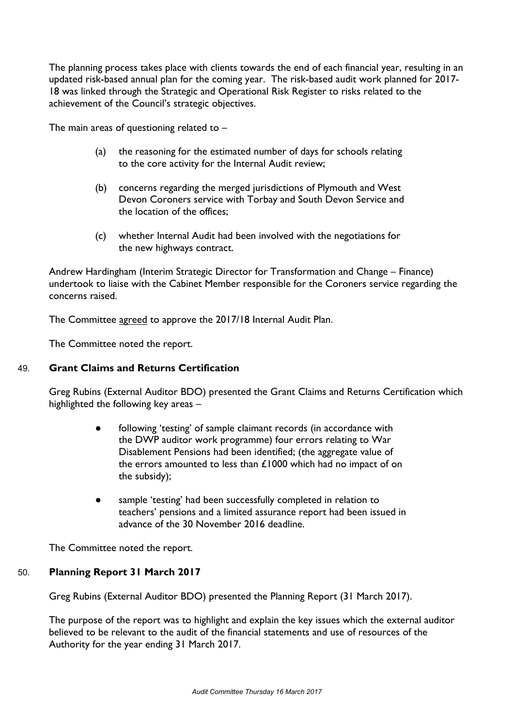The planning process takes place with clients towards the end of each financial year, resulting in an updated risk-based annual plan for the coming year. The risk-based audit work planned for 2017- 18 was linked through the Strategic and Operational Risk Register to risks related to the achievement of the Council's strategic objectives.

The main areas of questioning related to  $-$ 

- (a) the reasoning for the estimated number of days for schools relating to the core activity for the Internal Audit review;
- (b) concerns regarding the merged jurisdictions of Plymouth and West Devon Coroners service with Torbay and South Devon Service and the location of the offices;
- (c) whether Internal Audit had been involved with the negotiations for the new highways contract.

Andrew Hardingham (Interim Strategic Director for Transformation and Change – Finance) undertook to liaise with the Cabinet Member responsible for the Coroners service regarding the concerns raised.

The Committee agreed to approve the 2017/18 Internal Audit Plan.

The Committee noted the report.

## 49. **Grant Claims and Returns Certification**

Greg Rubins (External Auditor BDO) presented the Grant Claims and Returns Certification which highlighted the following key areas –

- following 'testing' of sample claimant records (in accordance with the DWP auditor work programme) four errors relating to War Disablement Pensions had been identified; (the aggregate value of the errors amounted to less than £1000 which had no impact of on the subsidy);
- sample 'testing' had been successfully completed in relation to teachers' pensions and a limited assurance report had been issued in advance of the 30 November 2016 deadline.

The Committee noted the report.

# 50. **Planning Report 31 March 2017**

Greg Rubins (External Auditor BDO) presented the Planning Report (31 March 2017).

The purpose of the report was to highlight and explain the key issues which the external auditor believed to be relevant to the audit of the financial statements and use of resources of the Authority for the year ending 31 March 2017.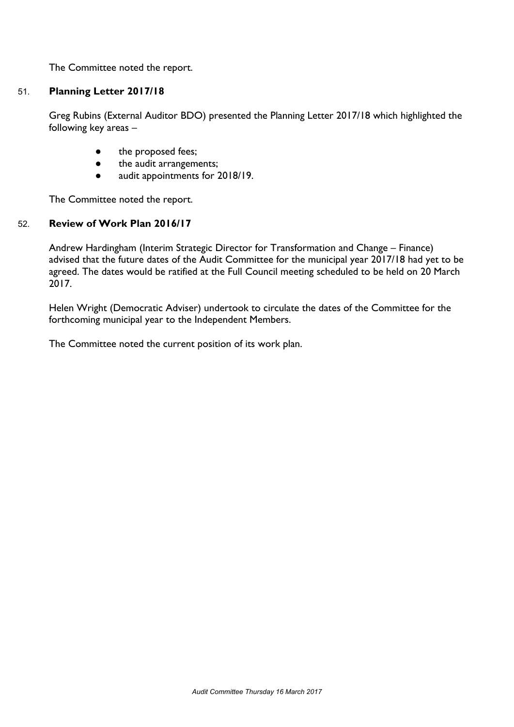The Committee noted the report.

## 51. **Planning Letter 2017/18**

Greg Rubins (External Auditor BDO) presented the Planning Letter 2017/18 which highlighted the following key areas –

- the proposed fees;
- the audit arrangements;
- audit appointments for 2018/19.

The Committee noted the report.

#### 52. **Review of Work Plan 2016/17**

Andrew Hardingham (Interim Strategic Director for Transformation and Change – Finance) advised that the future dates of the Audit Committee for the municipal year 2017/18 had yet to be agreed. The dates would be ratified at the Full Council meeting scheduled to be held on 20 March 2017.

Helen Wright (Democratic Adviser) undertook to circulate the dates of the Committee for the forthcoming municipal year to the Independent Members.

The Committee noted the current position of its work plan.